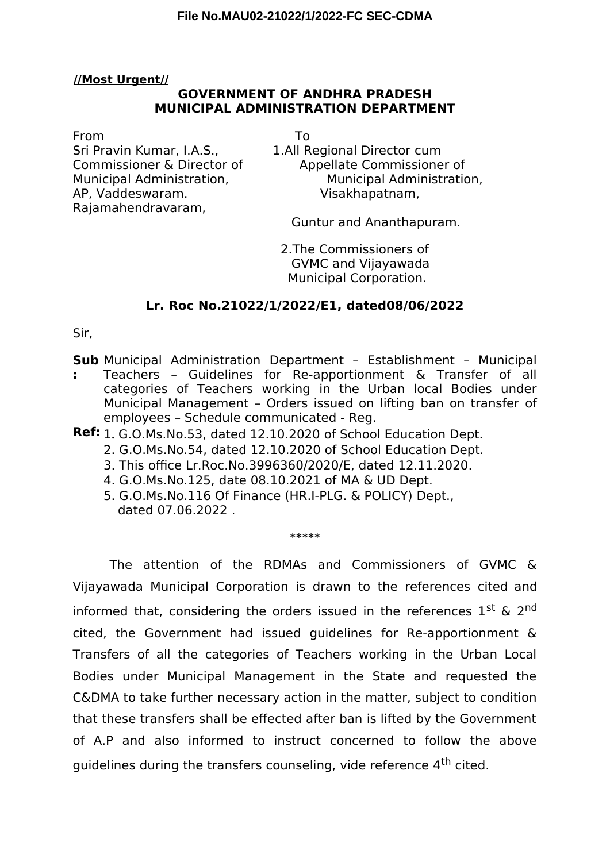## **//Most Urgent//**

# **GOVERNMENT OF ANDHRA PRADESH MUNICIPAL ADMINISTRATION DEPARTMENT**

### From To

Sri Pravin Kumar, I.A.S., 1.All Regional Director cum AP, Vaddeswaram. Visakhapatnam, Rajamahendravaram,

Commissioner & Director of Appellate Commissioner of Municipal Administration, Municipal Administration,

Guntur and Ananthapuram.

2.The Commissioners of GVMC and Vijayawada Municipal Corporation.

# **Lr. Roc No.21022/1/2022/E1, dated08/06/2022**

Sir,

**Sub** Municipal Administration Department – Establishment – Municipal

- **:** Teachers – Guidelines for Re-apportionment & Transfer of all categories of Teachers working in the Urban local Bodies under Municipal Management – Orders issued on lifting ban on transfer of employees – Schedule communicated - Reg.
- **Ref:** 1. G.O.Ms.No.53, dated 12.10.2020 of School Education Dept.
	- 2. G.O.Ms.No.54, dated 12.10.2020 of School Education Dept.
	- 3. This office Lr.Roc.No.3996360/2020/E, dated 12.11.2020.
	- 4. G.O.Ms.No.125, date 08.10.2021 of MA & UD Dept.
	- 5. G.O.Ms.No.116 Of Finance (HR.I-PLG. & POLICY) Dept., dated 07.06.2022 .

#### \*\*\*\*\*

The attention of the RDMAs and Commissioners of GVMC & Vijayawada Municipal Corporation is drawn to the references cited and informed that, considering the orders issued in the references  $1^{st}$  &  $2^{nd}$ cited, the Government had issued guidelines for Re-apportionment & Transfers of all the categories of Teachers working in the Urban Local Bodies under Municipal Management in the State and requested the C&DMA to take further necessary action in the matter, subject to condition that these transfers shall be efected after ban is lifted by the Government of A.P and also informed to instruct concerned to follow the above guidelines during the transfers counseling, vide reference 4<sup>th</sup> cited.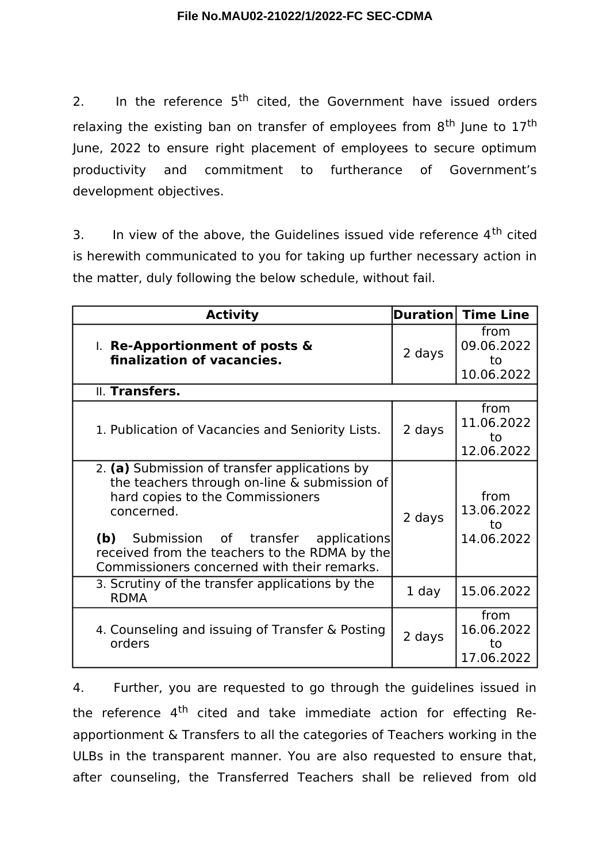2. In the reference  $5<sup>th</sup>$  cited, the Government have issued orders relaxing the existing ban on transfer of employees from  $8<sup>th</sup>$  June to  $17<sup>th</sup>$ June, 2022 to ensure right placement of employees to secure optimum productivity and commitment to furtherance of Government's development objectives.

3. In view of the above, the Guidelines issued vide reference  $4<sup>th</sup>$  cited is herewith communicated to you for taking up further necessary action in the matter, duly following the below schedule, without fail.

| <b>Activity</b>                                                                                                                                                                                                                                                                            | <b>Duration</b> | <b>Time Line</b>                       |
|--------------------------------------------------------------------------------------------------------------------------------------------------------------------------------------------------------------------------------------------------------------------------------------------|-----------------|----------------------------------------|
| I. Re-Apportionment of posts &<br>finalization of vacancies.                                                                                                                                                                                                                               | 2 days          | from<br>09.06.2022<br>to<br>10.06.2022 |
| II. Transfers.                                                                                                                                                                                                                                                                             |                 |                                        |
| 1. Publication of Vacancies and Seniority Lists.                                                                                                                                                                                                                                           | 2 days          | from<br>11.06.2022<br>to<br>12.06.2022 |
| 2. (a) Submission of transfer applications by<br>the teachers through on-line & submission of<br>hard copies to the Commissioners<br>concerned.<br>(b) Submission of transfer applications<br>received from the teachers to the RDMA by the<br>Commissioners concerned with their remarks. | 2 days          | from<br>13.06.2022<br>to<br>14.06.2022 |
| 3. Scrutiny of the transfer applications by the<br><b>RDMA</b>                                                                                                                                                                                                                             | 1 day           | 15.06.2022                             |
| 4. Counseling and issuing of Transfer & Posting<br>orders                                                                                                                                                                                                                                  | 2 days          | from<br>16.06.2022<br>to<br>17.06.2022 |

4. Further, you are requested to go through the guidelines issued in the reference 4<sup>th</sup> cited and take immediate action for effecting Reapportionment & Transfers to all the categories of Teachers working in the ULBs in the transparent manner. You are also requested to ensure that, after counseling, the Transferred Teachers shall be relieved from old